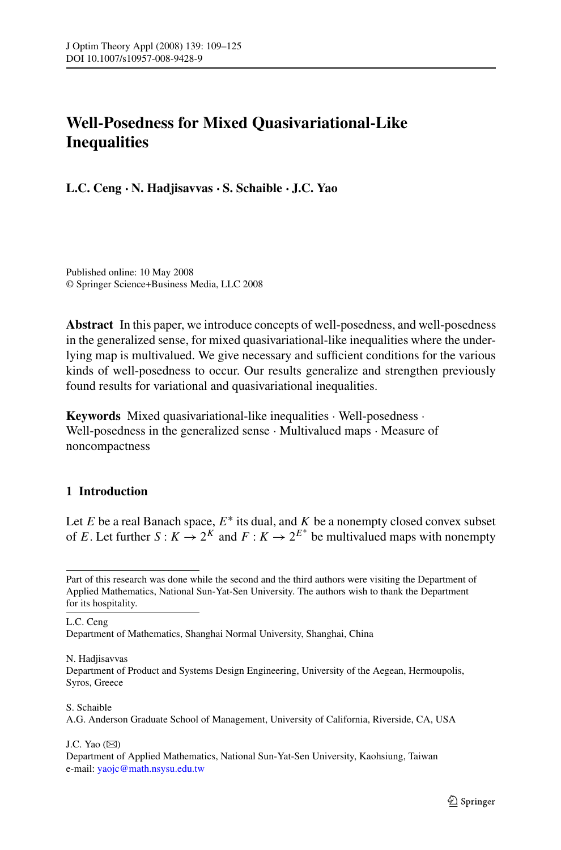# **Well-Posedness for Mixed Quasivariational-Like Inequalities**

**L.C. Ceng · N. Hadjisavvas · S. Schaible · J.C. Yao**

Published online: 10 May 2008 © Springer Science+Business Media, LLC 2008

**Abstract** In this paper, we introduce concepts of well-posedness, and well-posedness in the generalized sense, for mixed quasivariational-like inequalities where the underlying map is multivalued. We give necessary and sufficient conditions for the various kinds of well-posedness to occur. Our results generalize and strengthen previously found results for variational and quasivariational inequalities.

**Keywords** Mixed quasivariational-like inequalities · Well-posedness · Well-posedness in the generalized sense · Multivalued maps · Measure of noncompactness

# **1 Introduction**

Let  $E$  be a real Banach space,  $E^*$  its dual, and  $K$  be a nonempty closed convex subset of *E*. Let further  $S: K \to 2^K$  and  $F: K \to 2^{E^*}$  be multivalued maps with nonempty

L.C. Ceng

N. Hadjisavvas

Department of Product and Systems Design Engineering, University of the Aegean, Hermoupolis, Syros, Greece

### S. Schaible

A.G. Anderson Graduate School of Management, University of California, Riverside, CA, USA

J.C. Yao  $(\boxtimes)$ 

Part of this research was done while the second and the third authors were visiting the Department of Applied Mathematics, National Sun-Yat-Sen University. The authors wish to thank the Department for its hospitality.

Department of Mathematics, Shanghai Normal University, Shanghai, China

Department of Applied Mathematics, National Sun-Yat-Sen University, Kaohsiung, Taiwan e-mail: [yaojc@math.nsysu.edu.tw](mailto:yaojc@math.nsysu.edu.tw)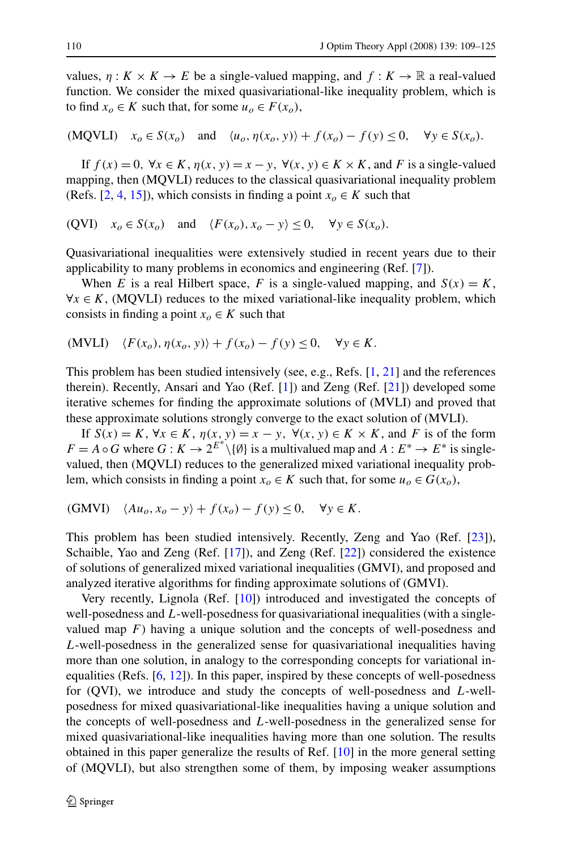values,  $\eta: K \times K \to E$  be a single-valued mapping, and  $f: K \to \mathbb{R}$  a real-valued function. We consider the mixed quasivariational-like inequality problem, which is to find  $x_0 \in K$  such that, for some  $u_0 \in F(x_0)$ ,

 $(MQVLI)$   $x_0 \in S(x_0)$  and  $\langle u_0, \eta(x_0, y) \rangle + f(x_0) - f(y) \leq 0$ ,  $\forall y \in S(x_0)$ .

If  $f(x) = 0$ ,  $\forall x \in K$ ,  $\eta(x, y) = x - y$ ,  $\forall (x, y) \in K \times K$ , and *F* is a single-valued mapping, then (MQVLI) reduces to the classical quasivariational inequality problem (Refs. [[2,](#page-16-0) [4,](#page-16-0) [15\]](#page-16-0)), which consists in finding a point  $x<sub>o</sub> \in K$  such that

 $f(VI)$   $x_0 \in S(x_0)$  and  $\langle F(x_0), x_0 - y \rangle \leq 0$ ,  $\forall y \in S(x_0)$ .

Quasivariational inequalities were extensively studied in recent years due to their applicability to many problems in economics and engineering (Ref. [\[7](#page-16-0)]).

When *E* is a real Hilbert space, *F* is a single-valued mapping, and  $S(x) = K$ ,  $\forall x \in K$ , (MQVLI) reduces to the mixed variational-like inequality problem, which consists in finding a point  $x<sub>o</sub> \in K$  such that

$$
(MVLI) \quad \langle F(x_o), \eta(x_o, y) \rangle + f(x_o) - f(y) \le 0, \quad \forall y \in K.
$$

This problem has been studied intensively (see, e.g., Refs. [[1,](#page-16-0) [21\]](#page-16-0) and the references therein). Recently, Ansari and Yao (Ref. [\[1](#page-16-0)]) and Zeng (Ref. [\[21](#page-16-0)]) developed some iterative schemes for finding the approximate solutions of (MVLI) and proved that these approximate solutions strongly converge to the exact solution of (MVLI).

If  $S(x) = K$ ,  $\forall x \in K$ ,  $\eta(x, y) = x - y$ ,  $\forall (x, y) \in K \times K$ , and *F* is of the form  $F = A \circ G$  where  $G : K \to 2^{E^*} \setminus \{ \emptyset \}$  is a multivalued map and  $A : E^* \to E^*$  is singlevalued, then (MQVLI) reduces to the generalized mixed variational inequality problem, which consists in finding a point  $x<sub>o</sub> \in K$  such that, for some  $u<sub>o</sub> \in G(x<sub>o</sub>)$ ,

(GMVI) 
$$
\langle Au_o, x_o - y \rangle + f(x_o) - f(y) \le 0, \quad \forall y \in K.
$$

This problem has been studied intensively. Recently, Zeng and Yao (Ref. [\[23](#page-16-0)]), Schaible, Yao and Zeng (Ref. [\[17](#page-16-0)]), and Zeng (Ref. [[22\]](#page-16-0)) considered the existence of solutions of generalized mixed variational inequalities (GMVI), and proposed and analyzed iterative algorithms for finding approximate solutions of (GMVI).

Very recently, Lignola (Ref. [\[10](#page-16-0)]) introduced and investigated the concepts of well-posedness and *L*-well-posedness for quasivariational inequalities (with a singlevalued map  $F$ ) having a unique solution and the concepts of well-posedness and *L*-well-posedness in the generalized sense for quasivariational inequalities having more than one solution, in analogy to the corresponding concepts for variational inequalities (Refs. [[6,](#page-16-0) [12\]](#page-16-0)). In this paper, inspired by these concepts of well-posedness for (QVI), we introduce and study the concepts of well-posedness and *L*-wellposedness for mixed quasivariational-like inequalities having a unique solution and the concepts of well-posedness and *L*-well-posedness in the generalized sense for mixed quasivariational-like inequalities having more than one solution. The results obtained in this paper generalize the results of Ref. [\[10](#page-16-0)] in the more general setting of (MQVLI), but also strengthen some of them, by imposing weaker assumptions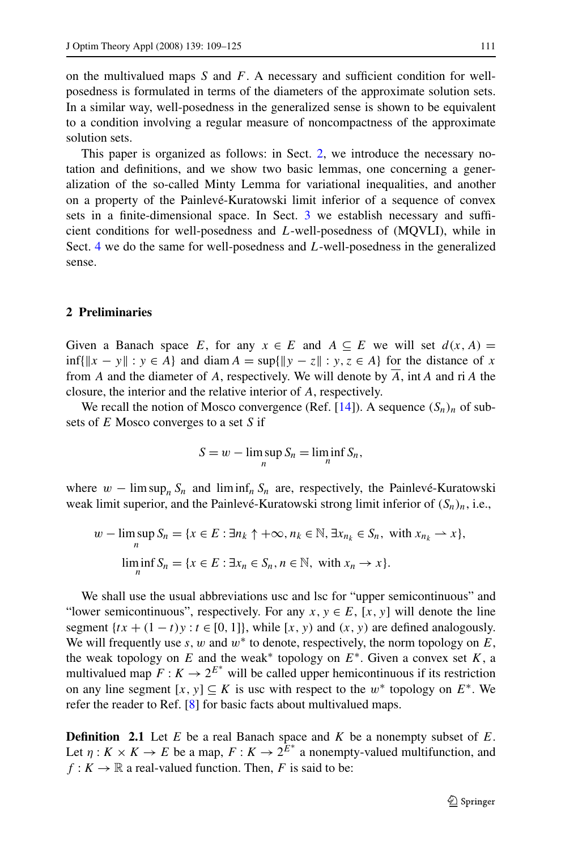on the multivalued maps *S* and *F*. A necessary and sufficient condition for wellposedness is formulated in terms of the diameters of the approximate solution sets. In a similar way, well-posedness in the generalized sense is shown to be equivalent to a condition involving a regular measure of noncompactness of the approximate solution sets.

This paper is organized as follows: in Sect. 2, we introduce the necessary notation and definitions, and we show two basic lemmas, one concerning a generalization of the so-called Minty Lemma for variational inequalities, and another on a property of the Painlevé-Kuratowski limit inferior of a sequence of convex sets in a finite-dimensional space. In Sect. [3](#page-7-0) we establish necessary and sufficient conditions for well-posedness and *L*-well-posedness of (MQVLI), while in Sect. [4](#page-13-0) we do the same for well-posedness and *L*-well-posedness in the generalized sense.

## **2 Preliminaries**

Given a Banach space *E*, for any  $x \in E$  and  $A \subseteq E$  we will set  $d(x, A) =$ inf{ $||x - y||$  : *y* ∈ *A*} and diam *A* = sup{ $||y - z||$  : *y*, *z* ∈ *A*} for the distance of *x* from *A* and the diameter of *A*, respectively. We will denote by *A*, int*A* and ri*A* the closure, the interior and the relative interior of *A*, respectively.

We recall the notion of Mosco convergence *(Ref.* [\[14](#page-16-0)]). A sequence  $(S_n)_n$  of subsets of *E* Mosco converges to a set *S* if

$$
S = w - \limsup_n S_n = \liminf_n S_n,
$$

where  $w - \limsup_{n} S_n$  and  $\liminf_{n} S_n$  are, respectively, the Painlevé-Kuratowski weak limit superior, and the Painlevé-Kuratowski strong limit inferior of  $(S_n)_n$ , i.e.,

$$
w - \limsup_{n} S_n = \{x \in E : \exists n_k \uparrow +\infty, n_k \in \mathbb{N}, \exists x_{n_k} \in S_n, \text{ with } x_{n_k} \rightharpoonup x\},\
$$

$$
\liminf_{n} S_n = \{x \in E : \exists x_n \in S_n, n \in \mathbb{N}, \text{ with } x_n \to x\}.
$$

We shall use the usual abbreviations usc and lsc for "upper semicontinuous" and "lower semicontinuous", respectively. For any  $x, y \in E$ ,  $[x, y]$  will denote the line segment  $\{tx + (1 - t)y : t \in [0, 1]\}$ , while  $[x, y)$  and  $(x, y)$  are defined analogously. We will frequently use  $s, w$  and  $w^*$  to denote, respectively, the norm topology on  $E$ , the weak topology on *E* and the weak<sup>\*</sup> topology on  $E^*$ . Given a convex set *K*, a multivalued map  $F: K \to 2^{E^*}$  will be called upper hemicontinuous if its restriction on any line segment  $[x, y] \subseteq K$  is usc with respect to the  $w^*$  topology on  $E^*$ . We refer the reader to Ref. [\[8](#page-16-0)] for basic facts about multivalued maps.

**Definition 2.1** Let *E* be a real Banach space and *K* be a nonempty subset of *E*. Let  $\eta: K \times K \to E$  be a map,  $F: K \to 2^{\overline{E}^*}$  a nonempty-valued multifunction, and  $f: K \to \mathbb{R}$  a real-valued function. Then, *F* is said to be: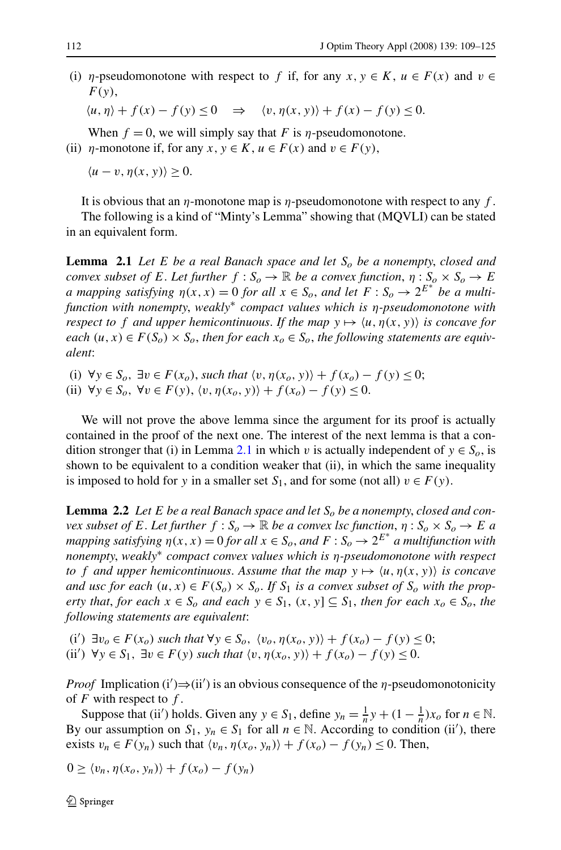<span id="page-3-0"></span>(i) *η*-pseudomonotone with respect to *f* if, for any  $x, y \in K$ ,  $u \in F(x)$  and  $v \in$ *F(y)*,

 $\langle u, \eta \rangle + f(x) - f(y) \leq 0 \implies \langle v, \eta(x, y) \rangle + f(x) - f(y) \leq 0.$ 

When  $f = 0$ , we will simply say that *F* is *η*-pseudomonotone.

(ii) *η*-monotone if, for any  $x, y \in K$ ,  $u \in F(x)$  and  $v \in F(y)$ ,

 $\langle u - v, \eta(x, y) \rangle > 0.$ 

It is obvious that an *η*-monotone map is *η*-pseudomonotone with respect to any *f* . The following is a kind of "Minty's Lemma" showing that (MQVLI) can be stated in an equivalent form.

**Lemma 2.1** *Let E be a real Banach space and let*  $S_0$  *be a nonempty, closed and convex subset of E*. Let further  $f : S_o \to \mathbb{R}$  be a convex function,  $\eta : S_o \times S_o \to E$ *a* mapping satisfying  $\eta(x, x) = 0$  for all  $x \in S_o$ , and let  $F : S_o \to 2^{E^*}$  be a multi*function with nonempty*, *weakly*<sup>∗</sup> *compact values which is η-pseudomonotone with respect to f and upper hemicontinuous. If the map*  $y \mapsto \langle u, \eta(x, y) \rangle$  *is concave for each*  $(u, x)$  ∈  $F(S_o)$  ×  $S_o$ , *then for each*  $x_o$  ∈  $S_o$ , *the following statements are equivalent*:

(i)  $\forall y \in S_0$ ,  $\exists v \in F(x_0)$ , *such that*  $\langle v, \eta(x_0, y) \rangle + f(x_0) - f(y) \leq 0$ ;

(ii)  $\forall y \in S_o$ ,  $\forall v \in F(y)$ ,  $\langle v, \eta(x_o, y) \rangle + f(x_o) - f(y) \leq 0$ .

We will not prove the above lemma since the argument for its proof is actually contained in the proof of the next one. The interest of the next lemma is that a condition stronger that (i) in Lemma 2.1 in which *v* is actually independent of  $y \in S_0$ , is shown to be equivalent to a condition weaker that (ii), in which the same inequality is imposed to hold for *y* in a smaller set  $S_1$ , and for some (not all)  $v \in F(y)$ .

**Lemma 2.2** *Let E be a real Banach space and let*  $S_0$  *be a nonempty, closed and convex subset of E*. Let further  $f : S_o \to \mathbb{R}$  *be a convex lsc function,*  $\eta : S_o \times S_o \to E$  *a mapping satisfying*  $\eta(x, x) = 0$  *for all*  $x \in S_o$ , and  $F : S_o \to 2^{E^*}$  a multifunction with *nonempty*, *weakly*<sup>∗</sup> *compact convex values which is η-pseudomonotone with respect to f* and upper hemicontinuous. Assume that the map  $y \mapsto \langle u, \eta(x, y) \rangle$  is concave *and usc for each*  $(u, x) \in F(S_0) \times S_0$ . If  $S_1$  *is a convex subset of*  $S_0$  *with the property that, for each*  $x \in S_0$  *and each*  $y \in S_1$ ,  $(x, y) \subseteq S_1$ , *then for each*  $x_0 \in S_0$ , *the following statements are equivalent*:

(i')  $\exists v_o \in F(x_o)$  *such that*  $\forall y \in S_o$ ,  $\langle v_o, \eta(x_o, y) \rangle + f(x_o) - f(y) \leq 0$ ; (ii')  $\forall y \in S_1$ ,  $\exists v \in F(y)$  *such that*  $\langle v, \eta(x_o, y) \rangle + f(x_o) - f(y) \le 0$ .

*Proof* Implication (i') $\Rightarrow$ (ii') is an obvious consequence of the *η*-pseudomonotonicity of *F* with respect to *f* .

Suppose that (ii') holds. Given any  $y \in S_1$ , define  $y_n = \frac{1}{n}y + (1 - \frac{1}{n})x_0$  for  $n \in \mathbb{N}$ . By our assumption on  $S_1$ ,  $y_n \in S_1$  for all  $n \in \mathbb{N}$ . According to condition (ii'), there exists  $v_n \in F(y_n)$  such that  $\langle v_n, \eta(x_0, y_n) \rangle + f(x_0) - f(y_n) \leq 0$ . Then,

$$
0 \ge \langle v_n, \eta(x_o, y_n) \rangle + f(x_o) - f(y_n)
$$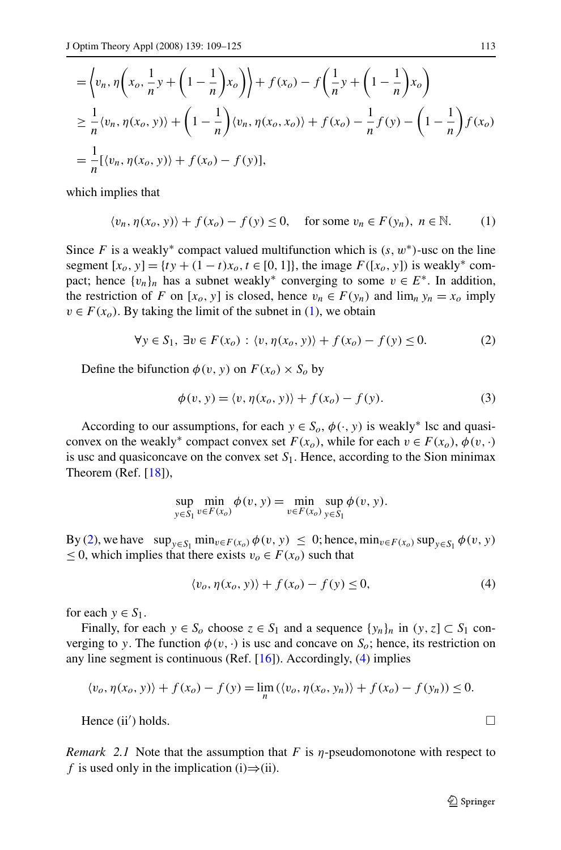$$
\begin{aligned}\n&= \left\langle v_n, \eta \left( x_o, \frac{1}{n} y + \left( 1 - \frac{1}{n} \right) x_o \right) \right\rangle + f(x_o) - f \left( \frac{1}{n} y + \left( 1 - \frac{1}{n} \right) x_o \right) \\
&\geq \frac{1}{n} \langle v_n, \eta(x_o, y) \rangle + \left( 1 - \frac{1}{n} \right) \langle v_n, \eta(x_o, x_o) \rangle + f(x_o) - \frac{1}{n} f(y) - \left( 1 - \frac{1}{n} \right) f(x_o) \\
&= \frac{1}{n} [\langle v_n, \eta(x_o, y) \rangle + f(x_o) - f(y)],\n\end{aligned}
$$

which implies that

$$
\langle v_n, \eta(x_o, y) \rangle + f(x_o) - f(y) \le 0, \quad \text{for some } v_n \in F(y_n), \ n \in \mathbb{N}.
$$
 (1)

Since *F* is a weakly<sup>∗</sup> compact valued multifunction which is  $(s, w<sup>*</sup>)$ -usc on the line segment  $[x_0, y] = \{ty + (1 - t)x_0, t \in [0, 1]\}$ , the image  $F([x_0, y])$  is weakly<sup>\*</sup> compact; hence  $\{v_n\}_n$  has a subnet weakly<sup>\*</sup> converging to some  $v \in E^*$ . In addition, the restriction of *F* on  $[x_0, y]$  is closed, hence  $v_n \in F(y_n)$  and  $\lim_n y_n = x_0$  imply  $v \in F(x_0)$ . By taking the limit of the subnet in (1), we obtain

$$
\forall y \in S_1, \exists v \in F(x_0) : \langle v, \eta(x_0, y) \rangle + f(x_0) - f(y) \le 0. \tag{2}
$$

Define the bifunction  $\phi(v, y)$  on  $F(x_0) \times S_0$  by

$$
\phi(v, y) = \langle v, \eta(x_o, y) \rangle + f(x_o) - f(y). \tag{3}
$$

According to our assumptions, for each  $y \in S_o$ ,  $\phi(\cdot, y)$  is weakly<sup>\*</sup> lsc and quasiconvex on the weakly<sup>∗</sup> compact convex set  $F(x_0)$ , while for each  $v \in F(x_0)$ ,  $\phi(v, \cdot)$ is usc and quasiconcave on the convex set  $S_1$ . Hence, according to the Sion minimax Theorem (Ref. [\[18](#page-16-0)]),

$$
\sup_{y \in S_1} \min_{v \in F(x_0)} \phi(v, y) = \min_{v \in F(x_0)} \sup_{y \in S_1} \phi(v, y).
$$

By (2), we have  $\sup_{y \in S_1} \min_{v \in F(x_0)} \phi(v, y) \leq 0$ ; hence,  $\min_{v \in F(x_0)} \sup_{y \in S_1} \phi(v, y)$ ≤ 0, which implies that there exists  $v<sub>o</sub> ∈ F(x<sub>o</sub>)$  such that

$$
\langle v_o, \eta(x_o, y) \rangle + f(x_o) - f(y) \le 0,\tag{4}
$$

for each  $y \in S_1$ .

Finally, for each  $y \in S_0$  choose  $z \in S_1$  and a sequence  $\{y_n\}_n$  in  $(y, z] \subset S_1$  converging to *y*. The function  $\phi(v, \cdot)$  is usc and concave on  $S_o$ ; hence, its restriction on any line segment is continuous (Ref.  $[16]$  $[16]$ ). Accordingly, (4) implies

$$
\langle v_o, \eta(x_o, y) \rangle + f(x_o) - f(y) = \lim_n (\langle v_o, \eta(x_o, y_n) \rangle + f(x_o) - f(y_n)) \le 0.
$$

Hence (ii') holds.  $\Box$ ) holds.

*Remark 2.1* Note that the assumption that *F* is *η*-pseudomonotone with respect to *f* is used only in the implication (i) $\Rightarrow$ (ii).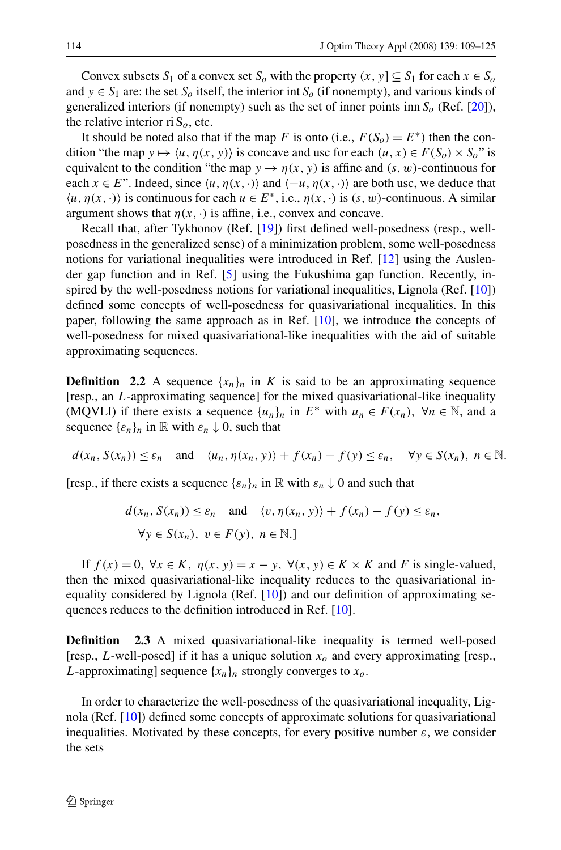Convex subsets *S*<sub>1</sub> of a convex set *S*<sub>0</sub> with the property  $(x, y) \subseteq S_1$  for each  $x \in S_0$ and  $y \in S_1$  are: the set  $S_0$  itself, the interior int  $S_0$  (if nonempty), and various kinds of generalized interiors (if nonempty) such as the set of inner points inn  $S_0$  (Ref. [\[20](#page-16-0)]), the relative interior ri  $S<sub>o</sub>$ , etc.

It should be noted also that if the map *F* is onto (i.e.,  $F(S_0) = E^*$ ) then the condition "the map  $y \mapsto \langle u, \eta(x, y) \rangle$  is concave and usc for each  $(u, x) \in F(S_0) \times S_0$ " is equivalent to the condition "the map  $y \to \eta(x, y)$  is affine and  $(s, w)$ -continuous for each  $x \in E$ ". Indeed, since  $\langle u, \eta(x, \cdot) \rangle$  and  $\langle -u, \eta(x, \cdot) \rangle$  are both usc, we deduce that  $\langle u, \eta(x, \cdot) \rangle$  is continuous for each  $u \in E^*$ , i.e.,  $\eta(x, \cdot)$  is  $(s, w)$ -continuous. A similar argument shows that  $\eta(x, \cdot)$  is affine, i.e., convex and concave.

Recall that, after Tykhonov (Ref. [[19\]](#page-16-0)) first defined well-posedness (resp., wellposedness in the generalized sense) of a minimization problem, some well-posedness notions for variational inequalities were introduced in Ref. [\[12](#page-16-0)] using the Auslender gap function and in Ref. [\[5](#page-16-0)] using the Fukushima gap function. Recently, inspired by the well-posedness notions for variational inequalities, Lignola (Ref. [[10\]](#page-16-0)) defined some concepts of well-posedness for quasivariational inequalities. In this paper, following the same approach as in Ref. [[10\]](#page-16-0), we introduce the concepts of well-posedness for mixed quasivariational-like inequalities with the aid of suitable approximating sequences.

**Definition** 2.2 A sequence  ${x_n}_n$  in *K* is said to be an approximating sequence [resp., an *L*-approximating sequence] for the mixed quasivariational-like inequality (MQVLI) if there exists a sequence  $\{u_n\}_n$  in  $E^*$  with  $u_n \in F(x_n)$ ,  $\forall n \in \mathbb{N}$ , and a sequence  $\{\varepsilon_n\}_n$  in  $\mathbb R$  with  $\varepsilon_n \downarrow 0$ , such that

$$
d(x_n, S(x_n)) \le \varepsilon_n
$$
 and  $\langle u_n, \eta(x_n, y) \rangle + f(x_n) - f(y) \le \varepsilon_n$ ,  $\forall y \in S(x_n)$ ,  $n \in \mathbb{N}$ .

[resp., if there exists a sequence  $\{\varepsilon_n\}_n$  in  $\mathbb R$  with  $\varepsilon_n \downarrow 0$  and such that

$$
d(x_n, S(x_n)) \le \varepsilon_n \quad \text{and} \quad \langle v, \eta(x_n, y) \rangle + f(x_n) - f(y) \le \varepsilon_n,
$$
  

$$
\forall y \in S(x_n), \ v \in F(y), \ n \in \mathbb{N}.
$$

If  $f(x) = 0$ ,  $\forall x \in K$ ,  $\eta(x, y) = x - y$ ,  $\forall (x, y) \in K \times K$  and *F* is single-valued, then the mixed quasivariational-like inequality reduces to the quasivariational inequality considered by Lignola (Ref. [\[10](#page-16-0)]) and our definition of approximating sequences reduces to the definition introduced in Ref. [[10\]](#page-16-0).

**Definition** 2.3 A mixed quasivariational-like inequality is termed well-posed [resp., *L*-well-posed] if it has a unique solution  $x<sub>o</sub>$  and every approximating [resp., *L*-approximating] sequence  $\{x_n\}_n$  strongly converges to  $x_o$ .

In order to characterize the well-posedness of the quasivariational inequality, Lignola (Ref. [[10\]](#page-16-0)) defined some concepts of approximate solutions for quasivariational inequalities. Motivated by these concepts, for every positive number  $\varepsilon$ , we consider the sets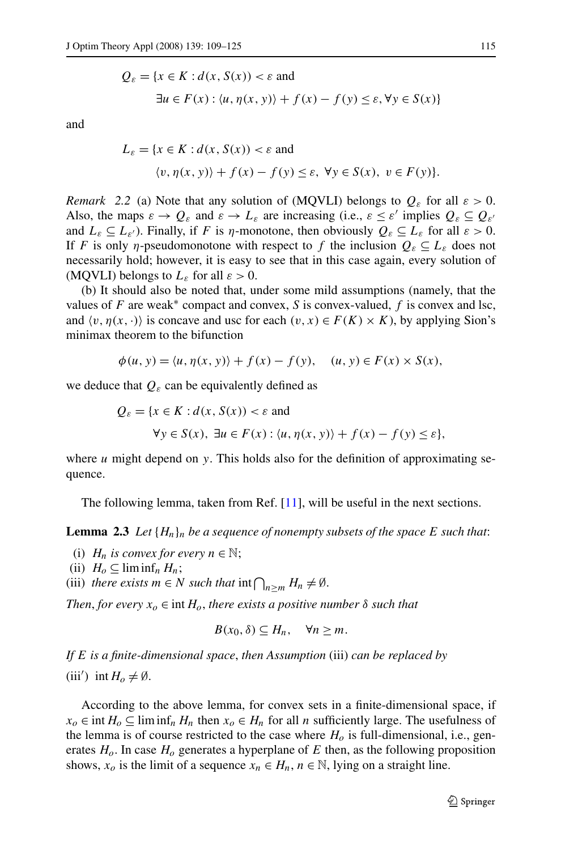$$
Q_{\varepsilon} = \{x \in K : d(x, S(x)) < \varepsilon \text{ and}
$$
\n
$$
\exists u \in F(x) : \langle u, \eta(x, y) \rangle + f(x) - f(y) \le \varepsilon, \forall y \in S(x)\}
$$

<span id="page-6-0"></span>and

$$
L_{\varepsilon} = \{x \in K : d(x, S(x)) < \varepsilon \text{ and}
$$
\n
$$
\langle v, \eta(x, y) \rangle + f(x) - f(y) \le \varepsilon, \ \forall y \in S(x), \ v \in F(y) \}.
$$

*Remark* 2.2 (a) Note that any solution of (MQVLI) belongs to  $Q_{\varepsilon}$  for all  $\varepsilon > 0$ . Also, the maps  $\varepsilon \to Q_{\varepsilon}$  and  $\varepsilon \to L_{\varepsilon}$  are increasing (i.e.,  $\varepsilon \leq \varepsilon'$  implies  $Q_{\varepsilon} \subseteq Q_{\varepsilon'}$ and  $L_{\varepsilon} \subseteq L_{\varepsilon'}$ . Finally, if *F* is *η*-monotone, then obviously  $Q_{\varepsilon} \subseteq L_{\varepsilon}$  for all  $\varepsilon > 0$ . If *F* is only *η*-pseudomonotone with respect to *f* the inclusion  $Q_{\varepsilon} \subseteq L_{\varepsilon}$  does not necessarily hold; however, it is easy to see that in this case again, every solution of (MQVLI) belongs to  $L_{\varepsilon}$  for all  $\varepsilon > 0$ .

(b) It should also be noted that, under some mild assumptions (namely, that the values of *F* are weak<sup>∗</sup> compact and convex, *S* is convex-valued, *f* is convex and lsc, and  $\langle v, \eta(x, \cdot) \rangle$  is concave and usc for each  $(v, x) \in F(K) \times K$ , by applying Sion's minimax theorem to the bifunction

$$
\phi(u, y) = \langle u, \eta(x, y) \rangle + f(x) - f(y), \quad (u, y) \in F(x) \times S(x),
$$

we deduce that  $Q_{\varepsilon}$  can be equivalently defined as

$$
Q_{\varepsilon} = \{x \in K : d(x, S(x)) < \varepsilon \text{ and}
$$
\n
$$
\forall y \in S(x), \exists u \in F(x) : \langle u, \eta(x, y) \rangle + f(x) - f(y) \le \varepsilon \},
$$

where *u* might depend on *y*. This holds also for the definition of approximating sequence.

The following lemma, taken from Ref. [\[11](#page-16-0)], will be useful in the next sections.

**Lemma 2.3** Let  ${H_n}_n$  be a sequence of nonempty subsets of the space E such that:

- (i)  $H_n$  *is convex for every*  $n \in \mathbb{N}$ ;
- (ii)  $H_0 \subseteq \liminf_n H_n;$
- (iii) *there exists*  $m \in N$  *such that*  $\inf \bigcap_{n \geq m} H_n \neq \emptyset$ .

*Then, for every*  $x_0 \in \text{int } H_0$ , *there exists a positive number*  $\delta$  *such that* 

$$
B(x_0, \delta) \subseteq H_n, \quad \forall n \ge m.
$$

*If E is a finite-dimensional space*, *then Assumption* (iii) *can be replaced by* (iii') int  $H_o \neq \emptyset$ .

According to the above lemma, for convex sets in a finite-dimensional space, if *x<sub>o</sub>* ∈ int *H<sub>o</sub>* ⊆ lim inf<sub>*n*</sub> *H<sub>n</sub>* then *x<sub>o</sub>* ∈ *H<sub>n</sub>* for all *n* sufficiently large. The usefulness of the lemma is of course restricted to the case where  $H<sub>o</sub>$  is full-dimensional, i.e., generates  $H<sub>o</sub>$ . In case  $H<sub>o</sub>$  generates a hyperplane of E then, as the following proposition shows,  $x_0$  is the limit of a sequence  $x_n \in H_n$ ,  $n \in \mathbb{N}$ , lying on a straight line.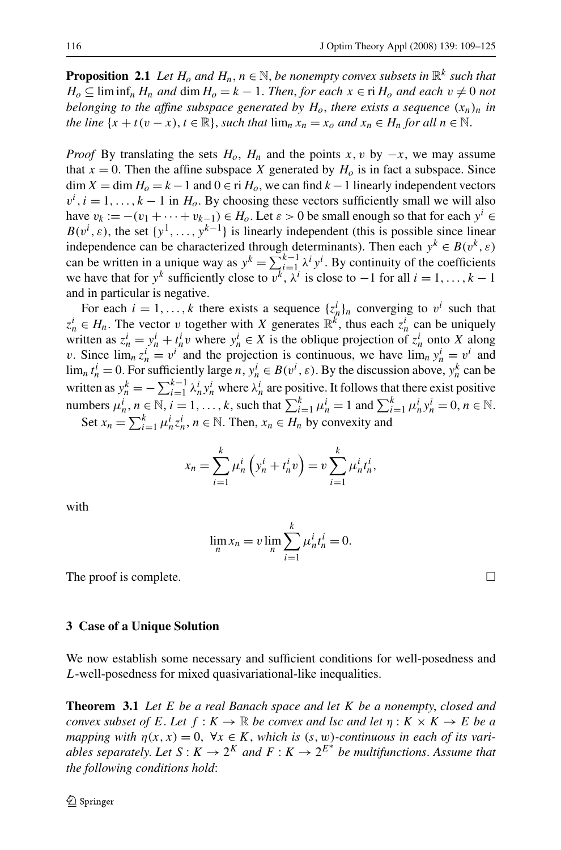<span id="page-7-0"></span>**Proposition 2.1** *Let*  $H_o$  *and*  $H_n$ ,  $n \in \mathbb{N}$ , *be nonempty convex subsets in*  $\mathbb{R}^k$  *such that H*<sup>0</sup> ⊆ lim inf<sub>n</sub> *H<sub>n</sub> and* dim *H*<sub>0</sub> = *k* − 1. *Then, for each*  $x \in$  ri *H*<sub>0</sub> *and each*  $v \neq 0$  *not belonging to the affine subspace generated by*  $H_0$ , *there exists a sequence*  $(x_n)_n$  *in the line*  $\{x + t(v - x), t \in \mathbb{R}\}$ , *such that*  $\lim_{n} x_n = x_o$  *and*  $x_n \in H_n$  *for all*  $n \in \mathbb{N}$ .

*Proof* By translating the sets  $H_0$ ,  $H_n$  and the points *x*, *v* by  $-x$ , we may assume that  $x = 0$ . Then the affine subspace *X* generated by  $H_0$  is in fact a subspace. Since dim  $X = \dim H_0 = k - 1$  and  $0 \in \text{ri } H_0$ , we can find  $k - 1$  linearly independent vectors  $v^i$ , *i* = 1, ..., *k* − 1 in *H*<sub>o</sub>. By choosing these vectors sufficiently small we will also have  $v_k := -(v_1 + \cdots + v_{k-1}) \in H_o$ . Let  $\varepsilon > 0$  be small enough so that for each  $y^i \in$  $B(v^i, \varepsilon)$ , the set  $\{y^1, \ldots, y^{k-1}\}$  is linearly independent (this is possible since linear independence can be characterized through determinants). Then each  $y^k \in B(v^k, \varepsilon)$ can be written in a unique way as  $y^k = \sum_{i=1}^{k-1} \lambda^i y^i$ . By continuity of the coefficients we have that for  $y^k$  sufficiently close to  $v^k$ ,  $\lambda^i$  is close to  $-1$  for all  $i = 1, ..., k - 1$ and in particular is negative.

For each  $i = 1, ..., k$  there exists a sequence  $\{z_n^i\}_n$  converging to  $v^i$  such that  $z_n^i \in H_n$ . The vector *v* together with *X* generates  $\mathbb{R}^k$ , thus each  $z_n^i$  can be uniquely written as  $z_n^i = y_n^i + t_n^i v$  where  $y_n^i \in X$  is the oblique projection of  $z_n^i$  onto *X* along *v*. Since  $\lim_{n \to \infty} z_n^i = v^i$  and the projection is continuous, we have  $\lim_{n \to \infty} y_n^i = v^i$  and  $\lim_{n} t_n^i = 0$ . For sufficiently large *n*,  $y_n^i \in B(v^i, \varepsilon)$ . By the discussion above,  $y_n^k$  can be written as  $y_n^k = -\sum_{i=1}^{k-1} \lambda_n^i y_n^i$  where  $\lambda_n^i$  are positive. It follows that there exist positive numbers  $\mu_n^i$ ,  $n \in \mathbb{N}$ ,  $i = 1, ..., k$ , such that  $\sum_{i=1}^k \mu_n^i = 1$  and  $\sum_{i=1}^k \mu_n^i y_n^i = 0$ ,  $n \in \mathbb{N}$ . Set  $x_n = \sum_{i=1}^k \mu_n^i z_n^i$ ,  $n \in \mathbb{N}$ . Then,  $x_n \in H_n$  by convexity and

$$
x_n = \sum_{i=1}^k \mu_n^i \left( y_n^i + t_n^i v \right) = v \sum_{i=1}^k \mu_n^i t_n^i,
$$

with

$$
\lim_{n} x_{n} = v \lim_{n} \sum_{i=1}^{k} \mu_{n}^{i} t_{n}^{i} = 0.
$$

The proof is complete.

#### **3 Case of a Unique Solution**

We now establish some necessary and sufficient conditions for well-posedness and *L*-well-posedness for mixed quasivariational-like inequalities.

**Theorem 3.1** *Let E be a real Banach space and let K be a nonempty*, *closed and convex subset of*  $E$ . Let  $f: K \to \mathbb{R}$  *be convex and lsc and let*  $\eta: K \times K \to E$  *be a mapping with*  $\eta(x, x) = 0$ ,  $\forall x \in K$ , *which is*  $(s, w)$ *-continuous in each of its variables separately. Let*  $S: K \to 2^K$  *and*  $F: K \to 2^{E^*}$  *be multifunctions. Assume that the following conditions hold*:

 $\Box$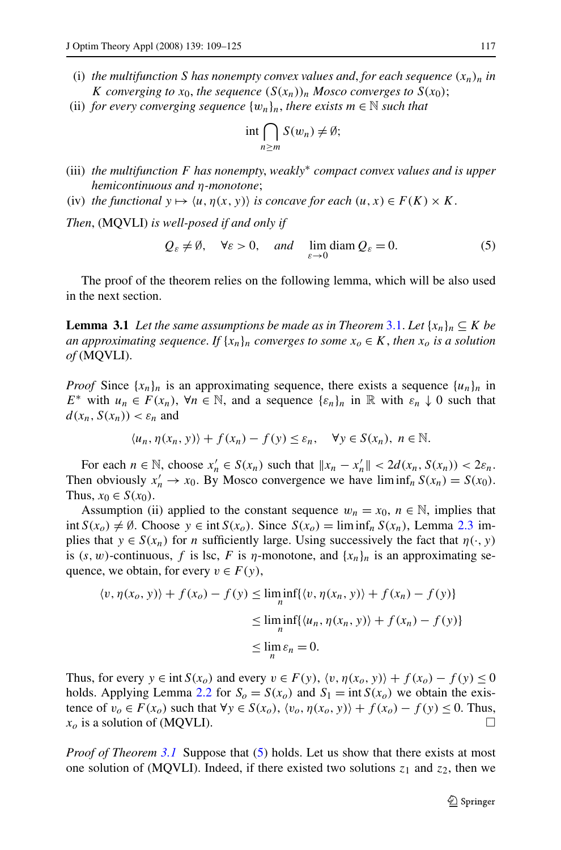- <span id="page-8-0"></span>(i) the multifunction S has nonempty convex values and, for each sequence  $(x_n)_n$  in *K converging to*  $x_0$ *, the sequence*  $(S(x_n))_n$  *Mosco converges to*  $S(x_0)$ ;
- (ii) *for every converging sequence*  $\{w_n\}_n$ *, there exists*  $m \in \mathbb{N}$  *such that*

$$
\operatorname{int} \bigcap_{n \ge m} S(w_n) \neq \emptyset;
$$

- (iii) *the multifunction F has nonempty*, *weakly*<sup>∗</sup> *compact convex values and is upper hemicontinuous and η-monotone*;
- (iv) *the functional*  $y \mapsto \langle u, \eta(x, y) \rangle$  *is concave for each*  $(u, x) \in F(K) \times K$ .

*Then*, (MQVLI) *is well-posed if and only if*

$$
Q_{\varepsilon} \neq \emptyset
$$
,  $\forall \varepsilon > 0$ , and  $\lim_{\varepsilon \to 0} \text{diam } Q_{\varepsilon} = 0$ . (5)

The proof of the theorem relies on the following lemma, which will be also used in the next section.

**Lemma [3.1](#page-7-0)** *Let the same assumptions be made as in Theorem 3.1. Let*  $\{x_n\}_n \subseteq K$  *be an approximating sequence. If*  $\{x_n\}_n$  *converges to some*  $x_o \in K$ *, then*  $x_o$  *is a solution of* (MQVLI).

*Proof* Since  $\{x_n\}_n$  is an approximating sequence, there exists a sequence  $\{u_n\}_n$  in *E*<sup>∗</sup> with  $u_n \text{ ∈ } F(x_n)$ ,  $\forall n \in \mathbb{N}$ , and a sequence  $\{\varepsilon_n\}_n$  in  $\mathbb{R}$  with  $\varepsilon_n \downarrow 0$  such that  $d(x_n, S(x_n)) < \varepsilon_n$  and

$$
\langle u_n, \eta(x_n, y) \rangle + f(x_n) - f(y) \le \varepsilon_n, \quad \forall y \in S(x_n), \ n \in \mathbb{N}.
$$

For each  $n \in \mathbb{N}$ , choose  $x'_n \in S(x_n)$  such that  $||x_n - x'_n|| < 2d(x_n, S(x_n)) < 2\varepsilon_n$ . Then obviously  $x'_n \to x_0$ . By Mosco convergence we have  $\liminf_n S(x_n) = S(x_0)$ . Thus,  $x_0 \in S(x_0)$ .

Assumption (ii) applied to the constant sequence  $w_n = x_0$ ,  $n \in \mathbb{N}$ , implies that int *S*(*x<sub>0</sub>*) ≠ Ø. Choose *y* ∈ int *S*(*x<sub>0</sub>*). Since *S*(*x<sub>0</sub>*) = lim inf<sub>*n*</sub> *S*(*x<sub>n</sub>*), Lemma [2.3](#page-6-0) implies that  $y \in S(x_n)$  for *n* sufficiently large. Using successively the fact that  $\eta(\cdot, y)$ is  $(s, w)$ -continuous, f is lsc, F is  $\eta$ -monotone, and  $\{x_n\}_n$  is an approximating sequence, we obtain, for every  $v \in F(y)$ ,

$$
\langle v, \eta(x_o, y) \rangle + f(x_o) - f(y) \le \liminf_n \{ \langle v, \eta(x_n, y) \rangle + f(x_n) - f(y) \}
$$
  

$$
\le \liminf_n \{ \langle u_n, \eta(x_n, y) \rangle + f(x_n) - f(y) \}
$$
  

$$
\le \lim_n \varepsilon_n = 0.
$$

Thus, for every  $y \in \text{int } S(x_0)$  and every  $v \in F(y)$ ,  $\langle v, \eta(x_0, y) \rangle + f(x_0) - f(y) \leq 0$ holds. Applying Lemma [2.2](#page-3-0) for  $S_0 = S(x_0)$  and  $S_1 = \text{int } S(x_0)$  we obtain the existence of  $v_o \in F(x_o)$  such that  $\forall y \in S(x_o)$ ,  $\langle v_o, \eta(x_o, y) \rangle + f(x_o) - f(y) \le 0$ . Thus,  $x_o$  is a solution of (MQVLI).

*Proof of Theorem [3.1](#page-7-0)* Suppose that (5) holds. Let us show that there exists at most one solution of (MQVLI). Indeed, if there existed two solutions  $z_1$  and  $z_2$ , then we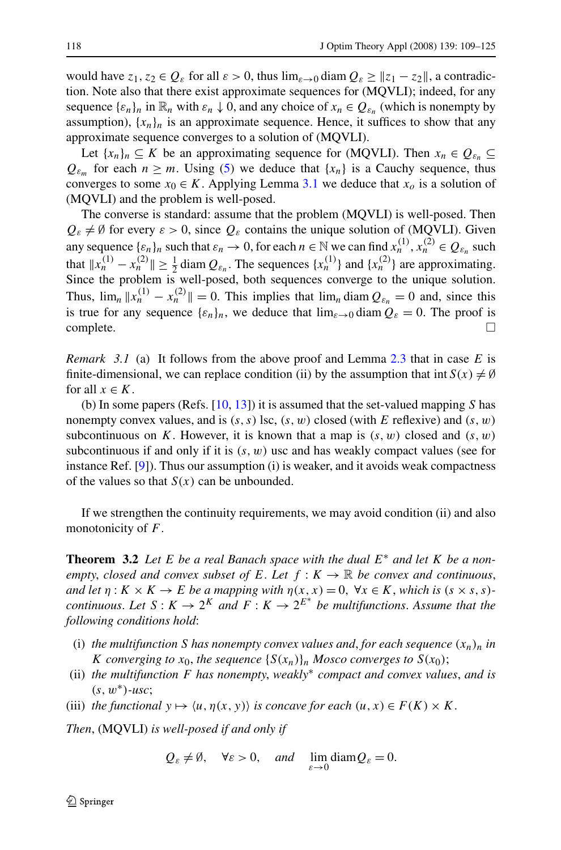<span id="page-9-0"></span>would have  $z_1, z_2 \in Q_\varepsilon$  for all  $\varepsilon > 0$ , thus  $\lim_{\varepsilon \to 0} \text{diam } Q_\varepsilon \ge ||z_1 - z_2||$ , a contradiction. Note also that there exist approximate sequences for (MQVLI); indeed, for any sequence  $\{\varepsilon_n\}_n$  in  $\mathbb{R}_n$  with  $\varepsilon_n \downarrow 0$ , and any choice of  $x_n \in Q_{\varepsilon_n}$  (which is nonempty by assumption),  $\{x_n\}_n$  is an approximate sequence. Hence, it suffices to show that any approximate sequence converges to a solution of (MQVLI).

Let  ${x_n}_n \subseteq K$  be an approximating sequence for (MQVLI). Then  $x_n \in Q_{\varepsilon_n} \subseteq$  $Q_{\varepsilon_m}$  for each  $n \geq m$ . Using [\(5](#page-8-0)) we deduce that  $\{x_n\}$  is a Cauchy sequence, thus converges to some  $x_0 \in K$ . Applying Lemma [3.1](#page-8-0) we deduce that  $x_0$  is a solution of (MQVLI) and the problem is well-posed.

The converse is standard: assume that the problem (MQVLI) is well-posed. Then  $Q_{\varepsilon} \neq \emptyset$  for every  $\varepsilon > 0$ , since  $Q_{\varepsilon}$  contains the unique solution of (MQVLI). Given any sequence  $\{\varepsilon_n\}_n$  such that  $\varepsilon_n \to 0$ , for each  $n \in \mathbb{N}$  we can find  $x_n^{(1)}$ ,  $x_n^{(2)} \in Q_{\varepsilon_n}$  such that  $||x_n^{(1)} - x_n^{(2)}|| \ge \frac{1}{2}$  diam  $Q_{\varepsilon_n}$ . The sequences  $\{x_n^{(1)}\}$  and  $\{x_n^{(2)}\}$  are approximating. Since the problem is well-posed, both sequences converge to the unique solution. Thus,  $\lim_{n} ||x_n^{(1)} - x_n^{(2)}|| = 0$ . This implies that  $\lim_{n} \text{diam } Q_{\varepsilon_n} = 0$  and, since this is true for any sequence  $\{\varepsilon_n\}_n$ , we deduce that  $\lim_{\varepsilon \to 0} \text{diam } Q_{\varepsilon} = 0$ . The proof is  $\Box$ complete.  $\Box$ 

*Remark 3.1* (a) It follows from the above proof and Lemma [2.3](#page-6-0) that in case *E* is finite-dimensional, we can replace condition (ii) by the assumption that int  $S(x) \neq \emptyset$ for all  $x \in K$ .

(b) In some papers (Refs. [\[10,](#page-16-0) [13\]](#page-16-0)) it is assumed that the set-valued mapping *S* has nonempty convex values, and is  $(s, s)$  lsc,  $(s, w)$  closed (with *E* reflexive) and  $(s, w)$ subcontinuous on *K*. However, it is known that a map is  $(s, w)$  closed and  $(s, w)$ subcontinuous if and only if it is  $(s, w)$  usc and has weakly compact values (see for instance Ref. [[9\]](#page-16-0)). Thus our assumption (i) is weaker, and it avoids weak compactness of the values so that  $S(x)$  can be unbounded.

If we strengthen the continuity requirements, we may avoid condition (ii) and also monotonicity of *F*.

**Theorem 3.2** *Let E be a real Banach space with the dual E*<sup>∗</sup> *and let K be a nonempty, closed and convex subset of*  $E$ . Let  $f : K \to \mathbb{R}$  be convex and continuous, *and let*  $\eta: K \times K \to E$  *be a mapping with*  $\eta(x, x) = 0$ ,  $\forall x \in K$ , *which is*  $(s \times s, s)$ *continuous. Let*  $S: K \to 2^K$  *and*  $F: K \to 2^{E^*}$  *be multifunctions. Assume that the following conditions hold*:

- (i) *the multifunction S has nonempty convex values and, for each sequence*  $(x_n)_n$  *in K converging to*  $x_0$ *, the sequence*  $\{S(x_n)\}_n$  *Mosco converges to*  $S(x_0)$ *;*
- (ii) *the multifunction F has nonempty*, *weakly*<sup>∗</sup> *compact and convex values*, *and is (s,w*∗*)-usc*;
- (iii) *the functional*  $y \mapsto \langle u, \eta(x, y) \rangle$  *is concave for each*  $(u, x) \in F(K) \times K$ .

*Then*, (MQVLI) *is well-posed if and only if*

$$
Q_{\varepsilon} \neq \emptyset
$$
,  $\forall \varepsilon > 0$ , and  $\lim_{\varepsilon \to 0} \text{diam} Q_{\varepsilon} = 0$ .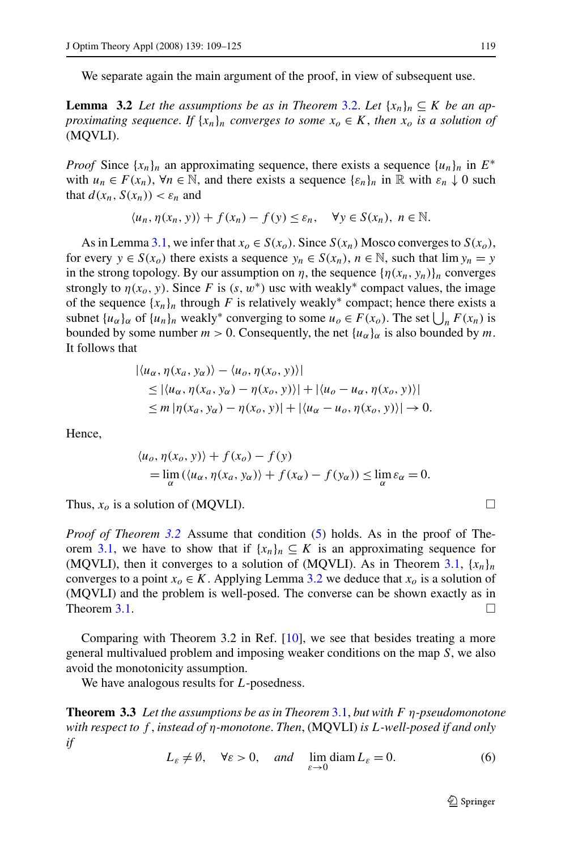<span id="page-10-0"></span>We separate again the main argument of the proof, in view of subsequent use.

**Lemma** [3.2](#page-9-0) Let the assumptions be as in Theorem 3.2. Let  $\{x_n\}_n \subseteq K$  be an ap*proximating sequence. If*  $\{x_n\}_n$  *converges to some*  $x_0 \in K$ *, then*  $x_0$  *is a solution of* (MQVLI).

*Proof* Since  $\{x_n\}_n$  an approximating sequence, there exists a sequence  $\{u_n\}_n$  in  $E^*$ with  $u_n \in F(x_n)$ ,  $\forall n \in \mathbb{N}$ , and there exists a sequence  $\{\varepsilon_n\}_n$  in  $\mathbb{R}$  with  $\varepsilon_n \downarrow 0$  such that  $d(x_n, S(x_n)) < \varepsilon_n$  and

$$
\langle u_n, \eta(x_n, y) \rangle + f(x_n) - f(y) \le \varepsilon_n, \quad \forall y \in S(x_n), \ n \in \mathbb{N}.
$$

As in Lemma [3.1](#page-8-0), we infer that  $x_0 \in S(x_0)$ . Since  $S(x_n)$  Mosco converges to  $S(x_0)$ , for every  $y \in S(x_0)$  there exists a sequence  $y_n \in S(x_n)$ ,  $n \in \mathbb{N}$ , such that  $\lim y_n = y$ in the strong topology. By our assumption on *η*, the sequence  $\{\eta(x_n, y_n)\}_{n}$  converges strongly to  $\eta(x_0, y)$ . Since *F* is  $(s, w^*)$  usc with weakly<sup>\*</sup> compact values, the image of the sequence  $\{x_n\}_n$  through *F* is relatively weakly<sup>\*</sup> compact; hence there exists a subnet  $\{u_{\alpha}\}_\alpha$  of  $\{u_n\}_n$  weakly<sup>\*</sup> converging to some  $u_o \in F(x_o)$ . The set  $\bigcup_n F(x_n)$  is bounded by some number  $m > 0$ . Consequently, the net  $\{u_{\alpha}\}_\alpha$  is also bounded by  $m$ . It follows that

$$
|\langle u_{\alpha}, \eta(x_a, y_{\alpha})\rangle - \langle u_{\alpha}, \eta(x_0, y)\rangle|
$$
  
\n
$$
\leq |\langle u_{\alpha}, \eta(x_a, y_{\alpha}) - \eta(x_0, y)\rangle| + |\langle u_{\alpha} - u_{\alpha}, \eta(x_0, y)\rangle|
$$
  
\n
$$
\leq m |\eta(x_a, y_{\alpha}) - \eta(x_0, y)| + |\langle u_{\alpha} - u_{\alpha}, \eta(x_0, y)\rangle| \to 0.
$$

Hence,

$$
\langle u_o, \eta(x_o, y) \rangle + f(x_o) - f(y)
$$
  
= 
$$
\lim_{\alpha} (\langle u_{\alpha}, \eta(x_a, y_{\alpha}) \rangle + f(x_{\alpha}) - f(y_{\alpha})) \le \lim_{\alpha} \varepsilon_{\alpha} = 0.
$$

Thus,  $x<sub>o</sub>$  is a solution of (MQVLI).

*Proof of Theorem [3.2](#page-9-0)* Assume that condition [\(5](#page-8-0)) holds. As in the proof of The-orem [3.1,](#page-7-0) we have to show that if  $\{x_n\}_n \subseteq K$  is an approximating sequence for (MQVLI), then it converges to a solution of (MQVLI). As in Theorem [3.1,](#page-7-0)  $\{x_n\}_n$ converges to a point  $x<sub>o</sub> \in K$ . Applying Lemma 3.2 we deduce that  $x<sub>o</sub>$  is a solution of (MQVLI) and the problem is well-posed. The converse can be shown exactly as in Theorem [3.1.](#page-7-0)  $\Box$ 

Comparing with Theorem 3.2 in Ref. [[10\]](#page-16-0), we see that besides treating a more general multivalued problem and imposing weaker conditions on the map *S*, we also avoid the monotonicity assumption.

We have analogous results for *L*-posedness.

**Theorem 3.3** *Let the assumptions be as in Theorem* [3.1,](#page-7-0) *but with F η-pseudomonotone with respect to f* , *instead of η-monotone*. *Then*, (MQVLI) *is L-well-posed if and only if*

$$
L_{\varepsilon} \neq \emptyset, \quad \forall \varepsilon > 0, \quad \text{and} \quad \lim_{\varepsilon \to 0} \text{diam}\, L_{\varepsilon} = 0. \tag{6}
$$

$$
\Box
$$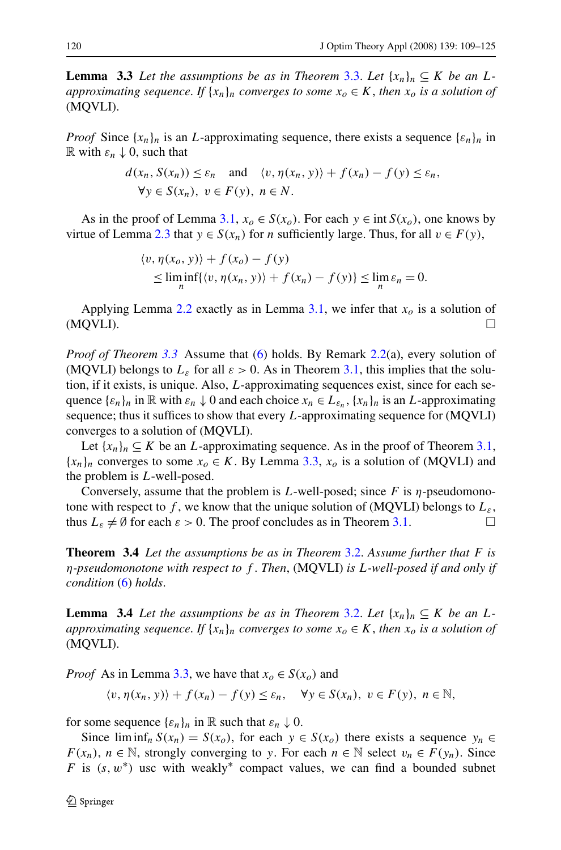<span id="page-11-0"></span>**Lemma** 3.3 Let the assumptions be as in Theorem [3.3.](#page-10-0) Let  $\{x_n\}_n \subseteq K$  be an L*approximating sequence. If*  $\{x_n\}_n$  *converges to some*  $x_o \in K$ , *then*  $x_o$  *is a solution of* (MQVLI).

*Proof* Since  $\{x_n\}_n$  is an *L*-approximating sequence, there exists a sequence  $\{e_n\}_n$  in  $\mathbb R$  with  $\varepsilon_n \downarrow 0$ , such that

$$
d(x_n, S(x_n)) \leq \varepsilon_n \quad \text{and} \quad \langle v, \eta(x_n, y) \rangle + f(x_n) - f(y) \leq \varepsilon_n,
$$
  

$$
\forall y \in S(x_n), \ v \in F(y), \ n \in N.
$$

As in the proof of Lemma [3.1,](#page-8-0)  $x_o \in S(x_o)$ . For each  $y \in \text{int } S(x_o)$ , one knows by virtue of Lemma [2.3](#page-6-0) that  $y \in S(x_n)$  for *n* sufficiently large. Thus, for all  $v \in F(y)$ ,

$$
\langle v, \eta(x_0, y) \rangle + f(x_0) - f(y)
$$
  
\n
$$
\leq \liminf_{n} \{ \langle v, \eta(x_n, y) \rangle + f(x_n) - f(y) \} \leq \lim_{n} \varepsilon_n = 0.
$$

Applying Lemma [2.2](#page-3-0) exactly as in Lemma  $3.1$ , we infer that  $x<sub>o</sub>$  is a solution of  $(MQVLI)$ .

*Proof of Theorem [3.3](#page-10-0)* Assume that [\(6](#page-10-0)) holds. By Remark [2.2\(](#page-6-0)a), every solution of (MQVLI) belongs to  $L_{\varepsilon}$  for all  $\varepsilon > 0$ . As in Theorem [3.1,](#page-7-0) this implies that the solution, if it exists, is unique. Also, *L*-approximating sequences exist, since for each sequence  ${\{\varepsilon_n\}_n}$  in  $\mathbb R$  with  $\varepsilon_n \downarrow 0$  and each choice  $x_n \in L_{\varepsilon_n}$ ,  $\{x_n\}_n$  is an *L*-approximating sequence; thus it suffices to show that every *L*-approximating sequence for (MQVLI) converges to a solution of (MQVLI).

Let  $\{x_n\}_n \subseteq K$  be an *L*-approximating sequence. As in the proof of Theorem [3.1](#page-7-0),  ${x_n}_n$  converges to some  $x_o \in K$ . By Lemma 3.3,  $x_o$  is a solution of (MQVLI) and the problem is *L*-well-posed.

Conversely, assume that the problem is *L*-well-posed; since *F* is *η*-pseudomonotone with respect to  $f$ , we know that the unique solution of (MQVLI) belongs to  $L_{\varepsilon}$ , thus  $L_{\varepsilon} \neq \emptyset$  for each  $\varepsilon > 0$ . The proof concludes as in Theorem [3.1](#page-7-0).

**Theorem 3.4** *Let the assumptions be as in Theorem* [3.2.](#page-9-0) *Assume further that F is η-pseudomonotone with respect to f* . *Then*, (MQVLI) *is L-well-posed if and only if condition* [\(6](#page-10-0)) *holds*.

**Lemma** 3.4 Let the assumptions be as in Theorem [3.2.](#page-9-0) Let  $\{x_n\}_n \subseteq K$  be an L*approximating sequence. If*  $\{x_n\}_n$  *converges to some*  $x_o \in K$ *, then*  $x_o$  *is a solution of* (MQVLI).

*Proof* As in Lemma 3.3, we have that  $x_o \in S(x_o)$  and

$$
\langle v, \eta(x_n, y) \rangle + f(x_n) - f(y) \le \varepsilon_n, \quad \forall y \in S(x_n), \ v \in F(y), \ n \in \mathbb{N},
$$

for some sequence  $\{\varepsilon_n\}_n$  in R such that  $\varepsilon_n \downarrow 0$ .

Since  $\liminf_n S(x_n) = S(x_0)$ , for each  $y \in S(x_0)$  there exists a sequence  $y_n \in S(x_0)$ *F*(*x<sub>n</sub>*), *n* ∈ N, strongly converging to *y*. For each *n* ∈ N select *v<sub>n</sub>* ∈ *F*(*y<sub>n</sub>*). Since *F* is  $(s, w^*)$  usc with weakly<sup>\*</sup> compact values, we can find a bounded subnet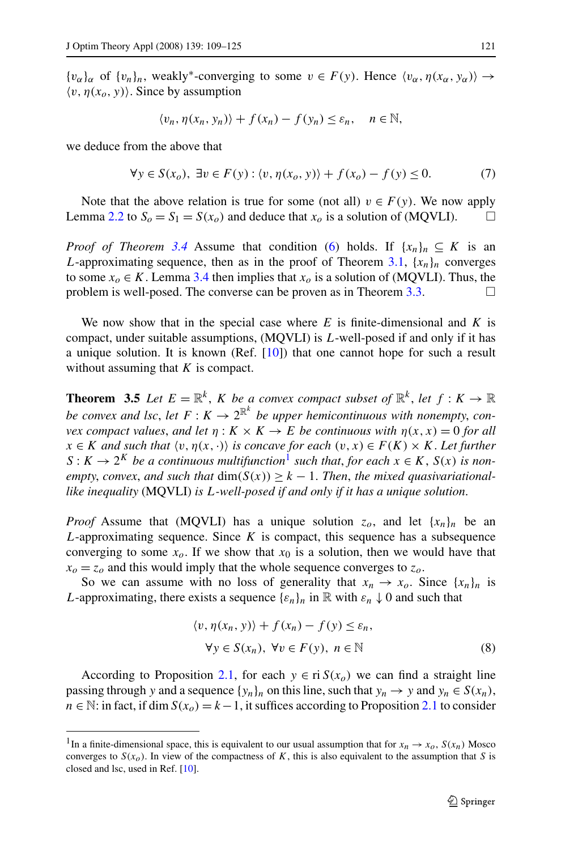<span id="page-12-0"></span> ${v_{\alpha}}\}_\alpha$  of  ${v_n}\}_n$ , weakly<sup>\*</sup>-converging to some  $v \in F(y)$ . Hence  ${\langle v_\alpha, \eta(x_\alpha, y_\alpha) \rangle} \rightarrow$  $\langle v, \eta(x_o, y) \rangle$ . Since by assumption

$$
\langle v_n, \eta(x_n, y_n) \rangle + f(x_n) - f(y_n) \le \varepsilon_n, \quad n \in \mathbb{N},
$$

we deduce from the above that

$$
\forall y \in S(x_o), \exists v \in F(y) : \langle v, \eta(x_o, y) \rangle + f(x_o) - f(y) \le 0. \tag{7}
$$

Note that the above relation is true for some (not all)  $v \in F(y)$ . We now apply Lemma [2.2](#page-3-0) to  $S_0 = S_1 = S(x_0)$  and deduce that  $x_0$  is a solution of (MQVLI).

*Proof of Theorem [3.4](#page-11-0)* Assume that condition ([6\)](#page-10-0) holds. If  $\{x_n\}_n \subseteq K$  is an *L*-approximating sequence, then as in the proof of Theorem [3.1,](#page-7-0)  ${x_n}_n$  converges to some  $x_0 \in K$ . Lemma [3.4](#page-11-0) then implies that  $x_0$  is a solution of (MQVLI). Thus, the problem is well-posed. The converse can be proven as in Theorem [3.3.](#page-10-0)  $\Box$ 

We now show that in the special case where *E* is finite-dimensional and *K* is compact, under suitable assumptions, (MQVLI) is *L*-well-posed if and only if it has a unique solution. It is known (Ref. [[10\]](#page-16-0)) that one cannot hope for such a result without assuming that *K* is compact.

**Theorem 3.5** Let  $E = \mathbb{R}^k$ , *K* be a convex compact subset of  $\mathbb{R}^k$ , let  $f: K \to \mathbb{R}$ *be convex and lsc, let*  $F: K \to 2^{\mathbb{R}^k}$  *be upper hemicontinuous with nonempty, convex compact values, and let*  $\eta: K \times K \to E$  *be continuous with*  $\eta(x, x) = 0$  *for all*  $x \in K$  *and such that*  $\langle v, \eta(x, \cdot) \rangle$  *is concave for each*  $(v, x) \in F(K) \times K$ . Let further  $S: K \to 2^K$  *be a continuous multifunction*<sup>1</sup> *such that, for each*  $x \in K$ ,  $S(x)$  *is nonempty, convex, and such that*  $dim(S(x)) \geq k - 1$ . Then, the mixed quasivariational*like inequality* (MQVLI) *is L-well-posed if and only if it has a unique solution*.

*Proof* Assume that (MQVLI) has a unique solution  $z_o$ , and let  $\{x_n\}_n$  be an *L*-approximating sequence. Since *K* is compact, this sequence has a subsequence converging to some  $x_0$ . If we show that  $x_0$  is a solution, then we would have that  $x_0 = z_0$  and this would imply that the whole sequence converges to  $z_0$ .

So we can assume with no loss of generality that  $x_n \to x_o$ . Since  $\{x_n\}_n$  is *L*-approximating, there exists a sequence  $\{\varepsilon_n\}_n$  in  $\mathbb R$  with  $\varepsilon_n \downarrow 0$  and such that

$$
\langle v, \eta(x_n, y) \rangle + f(x_n) - f(y) \le \varepsilon_n,
$$
  
\n
$$
\forall y \in S(x_n), \ \forall v \in F(y), \ n \in \mathbb{N}
$$
 (8)

According to Proposition [2.1,](#page-7-0) for each  $y \in \text{ri } S(x_0)$  we can find a straight line passing through *y* and a sequence  $\{y_n\}_n$  on this line, such that  $y_n \to y$  and  $y_n \in S(x_n)$ ,  $n \in \mathbb{N}$ : in fact, if dim  $S(x_0) = k - 1$ , it suffices according to Proposition [2.1](#page-7-0) to consider

<sup>&</sup>lt;sup>1</sup>In a finite-dimensional space, this is equivalent to our usual assumption that for  $x_n \to x_0$ ,  $S(x_n)$  Mosco converges to  $S(x_0)$ . In view of the compactness of *K*, this is also equivalent to the assumption that *S* is closed and lsc, used in Ref. [\[10](#page-16-0)].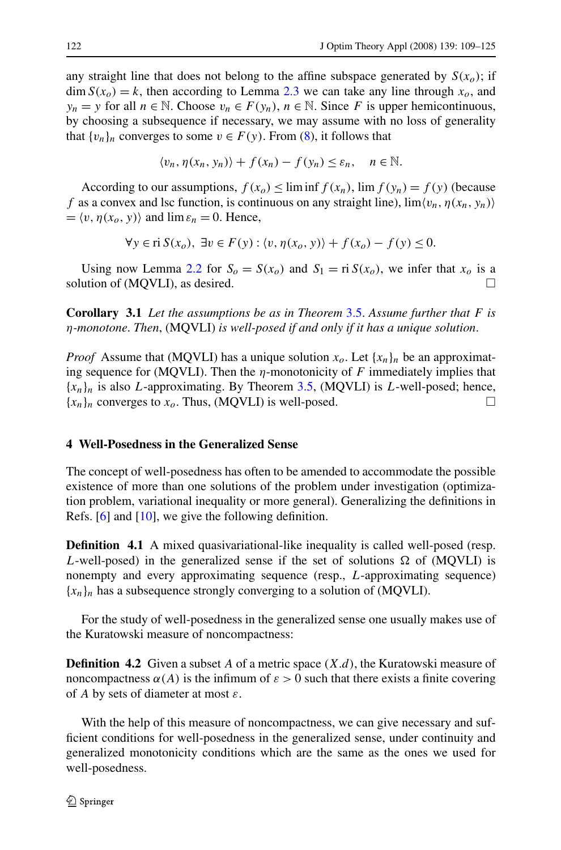<span id="page-13-0"></span>any straight line that does not belong to the affine subspace generated by  $S(x<sub>o</sub>)$ ; if  $\dim S(x_0) = k$ , then according to Lemma [2.3](#page-6-0) we can take any line through  $x_0$ , and *y<sub>n</sub>* = *y* for all *n* ∈ N. Choose  $v_n$  ∈  $F(y_n)$ , *n* ∈ N. Since *F* is upper hemicontinuous, by choosing a subsequence if necessary, we may assume with no loss of generality that  $\{v_n\}_n$  converges to some  $v \in F(y)$ . From [\(8](#page-12-0)), it follows that

$$
\langle v_n, \eta(x_n, y_n) \rangle + f(x_n) - f(y_n) \le \varepsilon_n, \quad n \in \mathbb{N}.
$$

According to our assumptions,  $f(x_0) \leq \liminf f(x_n)$ ,  $\lim f(y_n) = f(y)$  (because *f* as a convex and lsc function, is continuous on any straight line),  $\lim \langle v_n, \eta(x_n, y_n) \rangle$  $= \langle v, \eta(x_o, y) \rangle$  and  $\lim \varepsilon_n = 0$ . Hence,

$$
\forall y \in \text{ri } S(x_o), \exists v \in F(y) : \langle v, \eta(x_o, y) \rangle + f(x_o) - f(y) \le 0.
$$

Using now Lemma [2.2](#page-3-0) for  $S_0 = S(x_0)$  and  $S_1 = r \cdot S(x_0)$ , we infer that  $x_0$  is a solution of (MQVLI), as desired.

**Corollary 3.1** *Let the assumptions be as in Theorem* [3.5.](#page-12-0) *Assume further that F is η-monotone*. *Then*, (MQVLI) *is well-posed if and only if it has a unique solution*.

*Proof* Assume that (MQVLI) has a unique solution  $x_o$ . Let  $\{x_n\}_n$  be an approximating sequence for (MQVLI). Then the *η*-monotonicity of *F* immediately implies that {*xn*}*<sup>n</sup>* is also *L*-approximating. By Theorem [3.5](#page-12-0), (MQVLI) is *L*-well-posed; hence,  ${x_n}_n$  converges to  $x_0$ . Thus, (MQVLI) is well-posed.  $\Box$ 

# **4 Well-Posedness in the Generalized Sense**

The concept of well-posedness has often to be amended to accommodate the possible existence of more than one solutions of the problem under investigation (optimization problem, variational inequality or more general). Generalizing the definitions in Refs. [\[6](#page-16-0)] and [\[10](#page-16-0)], we give the following definition.

**Definition 4.1** A mixed quasivariational-like inequality is called well-posed (resp. *L*-well-posed) in the generalized sense if the set of solutions  $\Omega$  of (MQVLI) is nonempty and every approximating sequence (resp., *L*-approximating sequence)  ${x_n}_n$  has a subsequence strongly converging to a solution of (MQVLI).

For the study of well-posedness in the generalized sense one usually makes use of the Kuratowski measure of noncompactness:

**Definition 4.2** Given a subset *A* of a metric space *(X.d)*, the Kuratowski measure of noncompactness  $\alpha(A)$  is the infimum of  $\varepsilon > 0$  such that there exists a finite covering of *A* by sets of diameter at most *ε*.

With the help of this measure of noncompactness, we can give necessary and sufficient conditions for well-posedness in the generalized sense, under continuity and generalized monotonicity conditions which are the same as the ones we used for well-posedness.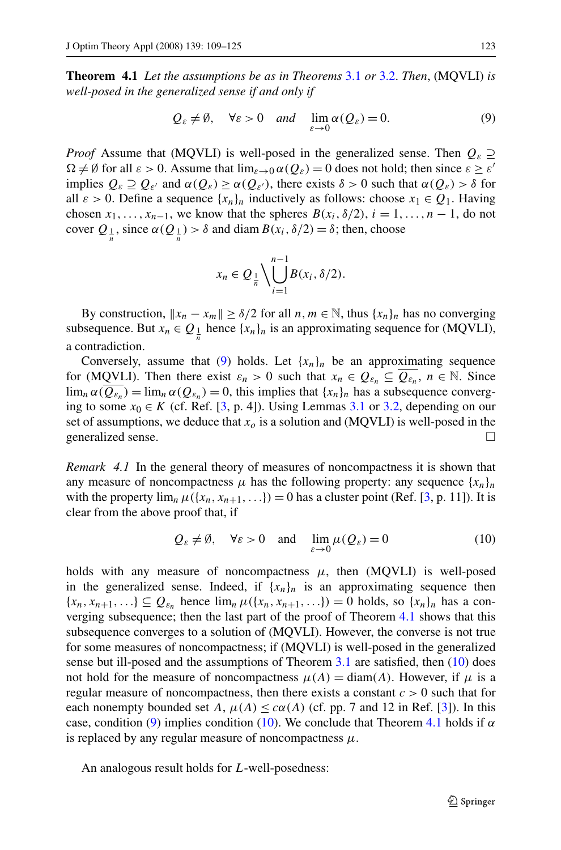<span id="page-14-0"></span>**Theorem 4.1** *Let the assumptions be as in Theorems* [3.1](#page-7-0) *or* [3.2.](#page-9-0) *Then*, (MQVLI) *is well-posed in the generalized sense if and only if*

$$
Q_{\varepsilon} \neq \emptyset
$$
,  $\forall \varepsilon > 0$  and  $\lim_{\varepsilon \to 0} \alpha(Q_{\varepsilon}) = 0.$  (9)

*Proof* Assume that (MQVLI) is well-posed in the generalized sense. Then  $Q_{\varepsilon} \supseteq$  $\Omega \neq \emptyset$  for all  $\varepsilon > 0$ . Assume that  $\lim_{\varepsilon \to 0} \alpha(Q_{\varepsilon}) = 0$  does not hold; then since  $\varepsilon \geq \varepsilon'$ implies  $Q_{\varepsilon} \supseteq Q_{\varepsilon'}$  and  $\alpha(Q_{\varepsilon}) \geq \alpha(Q_{\varepsilon'})$ , there exists  $\delta > 0$  such that  $\alpha(Q_{\varepsilon}) > \delta$  for all  $\varepsilon > 0$ . Define a sequence  $\{x_n\}_n$  inductively as follows: choose  $x_1 \in Q_1$ . Having chosen  $x_1, \ldots, x_{n-1}$ , we know that the spheres  $B(x_i, \delta/2), i = 1, \ldots, n-1$ , do not cover  $Q_{\frac{1}{n}}$ , since  $\alpha(Q_{\frac{1}{n}}) > \delta$  and diam  $B(x_i, \delta/2) = \delta$ ; then, choose

$$
x_n \in Q_{\frac{1}{n}} \setminus \bigcup_{i=1}^{n-1} B(x_i, \delta/2).
$$

By construction,  $||x_n - x_m|| \ge \delta/2$  for all  $n, m \in \mathbb{N}$ , thus  $\{x_n\}_n$  has no converging subsequence. But  $x_n \in Q_{\frac{1}{n}}$  hence  $\{x_n\}_n$  is an approximating sequence for (MQVLI), a contradiction.

Conversely, assume that (9) holds. Let  $\{x_n\}_n$  be an approximating sequence for (MQVLI). Then there exist  $\varepsilon_n > 0$  such that  $x_n \in Q_{\varepsilon_n} \subseteq \overline{Q_{\varepsilon_n}}$ ,  $n \in \mathbb{N}$ . Since  $\lim_{n \to \infty} \alpha(Q_{\varepsilon_n}) = \lim_{n \to \infty} \alpha(Q_{\varepsilon_n}) = 0$ , this implies that  $\{x_n\}_n$  has a subsequence converging to some  $x_0 \in K$  (cf. Ref. [[3,](#page-16-0) p. 4]). Using Lemmas [3.1](#page-8-0) or [3.2,](#page-10-0) depending on our set of assumptions, we deduce that *xo* is a solution and (MQVLI) is well-posed in the generalized sense.

*Remark 4.1* In the general theory of measures of noncompactness it is shown that any measure of noncompactness  $\mu$  has the following property: any sequence  $\{x_n\}_n$ with the property  $\lim_{n} \mu({x_n, x_{n+1}, \ldots}) = 0$  has a cluster point (Ref. [\[3](#page-16-0), p. 11]). It is clear from the above proof that, if

$$
Q_{\varepsilon} \neq \emptyset
$$
,  $\forall \varepsilon > 0$  and  $\lim_{\varepsilon \to 0} \mu(Q_{\varepsilon}) = 0$  (10)

holds with any measure of noncompactness  $\mu$ , then (MQVLI) is well-posed in the generalized sense. Indeed, if  ${x_n}_n$  is an approximating sequence then  ${x_n, x_{n+1}, \ldots} \subseteq Q_{\varepsilon_n}$  hence  $\lim_n \mu({x_n, x_{n+1}, \ldots}) = 0$  holds, so  ${x_n}_n$  has a converging subsequence; then the last part of the proof of Theorem 4.1 shows that this subsequence converges to a solution of (MQVLI). However, the converse is not true for some measures of noncompactness; if (MQVLI) is well-posed in the generalized sense but ill-posed and the assumptions of Theorem [3.1](#page-7-0) are satisfied, then (10) does not hold for the measure of noncompactness  $\mu(A) = \text{diam}(A)$ . However, if  $\mu$  is a regular measure of noncompactness, then there exists a constant  $c > 0$  such that for each nonempty bounded set *A*,  $\mu(A) \leq c\alpha(A)$  (cf. pp. 7 and 12 in Ref. [[3\]](#page-16-0)). In this case, condition (9) implies condition (10). We conclude that Theorem 4.1 holds if *α* is replaced by any regular measure of noncompactness  $\mu$ .

An analogous result holds for *L*-well-posedness: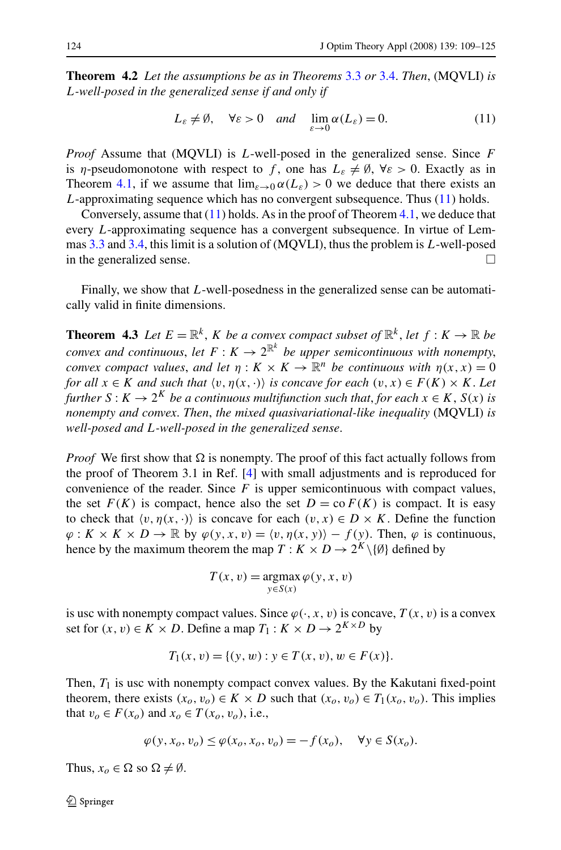**Theorem 4.2** *Let the assumptions be as in Theorems* [3.3](#page-10-0) *or* [3.4.](#page-11-0) *Then*, (MQVLI) *is L-well-posed in the generalized sense if and only if*

$$
L_{\varepsilon} \neq \emptyset, \quad \forall \varepsilon > 0 \quad and \quad \lim_{\varepsilon \to 0} \alpha(L_{\varepsilon}) = 0. \tag{11}
$$

*Proof* Assume that (MQVLI) is *L*-well-posed in the generalized sense. Since *F* is *η*-pseudomonotone with respect to f, one has  $L_{\varepsilon} \neq \emptyset$ ,  $\forall \varepsilon > 0$ . Exactly as in Theorem [4.1,](#page-14-0) if we assume that  $\lim_{\varepsilon \to 0} \alpha(L_{\varepsilon}) > 0$  we deduce that there exists an *L*-approximating sequence which has no convergent subsequence. Thus (11) holds.

Conversely, assume that  $(11)$  holds. As in the proof of Theorem [4.1,](#page-14-0) we deduce that every *L*-approximating sequence has a convergent subsequence. In virtue of Lemmas [3.3](#page-11-0) and [3.4](#page-11-0), this limit is a solution of (MQVLI), thus the problem is *L*-well-posed in the generalized sense.  $\Box$ 

Finally, we show that *L*-well-posedness in the generalized sense can be automatically valid in finite dimensions.

**Theorem 4.3** *Let*  $E = \mathbb{R}^k$ , *K be a convex compact subset of*  $\mathbb{R}^k$ , *let*  $f : K \to \mathbb{R}$  *be convex and continuous, let*  $F: K \to 2^{\mathbb{R}^k}$  be upper semicontinuous with nonempty, *convex compact values, and let*  $\eta : K \times K \to \mathbb{R}^n$  *be continuous with*  $\eta(x, x) = 0$ *for all*  $x \in K$  *and such that*  $\langle v, \eta(x, \cdot) \rangle$  *is concave for each*  $(v, x) \in F(K) \times K$ . Let *further*  $S: K \to 2^K$  *be a continuous multifunction such that, for each*  $x \in K$ ,  $S(x)$  *is nonempty and convex*. *Then*, *the mixed quasivariational-like inequality* (MQVLI) *is well-posed and L-well-posed in the generalized sense*.

*Proof* We first show that  $\Omega$  is nonempty. The proof of this fact actually follows from the proof of Theorem 3.1 in Ref. [\[4](#page-16-0)] with small adjustments and is reproduced for convenience of the reader. Since  $F$  is upper semicontinuous with compact values, the set  $F(K)$  is compact, hence also the set  $D = \text{co } F(K)$  is compact. It is easy to check that  $\langle v, \eta(x, \cdot) \rangle$  is concave for each  $(v, x) \in D \times K$ . Define the function  $\varphi: K \times K \times D \to \mathbb{R}$  by  $\varphi(y, x, v) = \langle v, \eta(x, y) \rangle - f(y)$ . Then,  $\varphi$  is continuous, hence by the maximum theorem the map  $T: K \times D \to 2^K \setminus \{0\}$  defined by

$$
T(x, v) = \underset{y \in S(x)}{\operatorname{argmax}} \varphi(y, x, v)
$$

is usc with nonempty compact values. Since  $\varphi(\cdot, x, v)$  is concave,  $T(x, v)$  is a convex set for  $(x, v) \in K \times D$ . Define a map  $T_1 : K \times D \rightarrow 2^{K \times D}$  by

$$
T_1(x, v) = \{(y, w) : y \in T(x, v), w \in F(x)\}.
$$

Then,  $T_1$  is usc with nonempty compact convex values. By the Kakutani fixed-point theorem, there exists  $(x_o, v_o) \in K \times D$  such that  $(x_o, v_o) \in T_1(x_o, v_o)$ . This implies that  $v_o \in F(x_o)$  and  $x_o \in T(x_o, v_o)$ , i.e.,

$$
\varphi(y, x_o, v_o) \le \varphi(x_o, x_o, v_o) = -f(x_o), \quad \forall y \in S(x_o).
$$

Thus,  $x_o \in \Omega$  so  $\Omega \neq \emptyset$ .